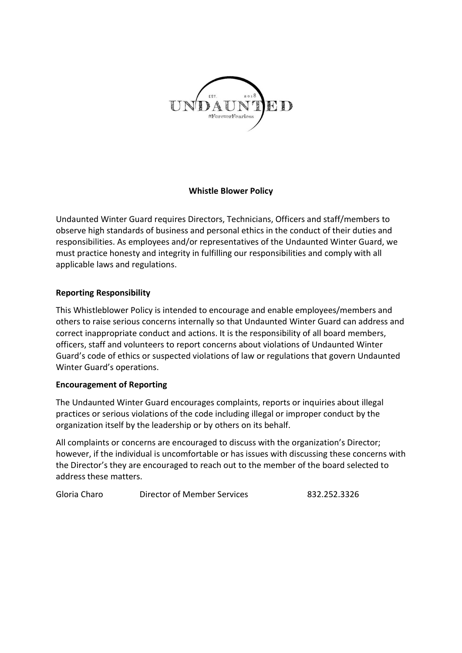

# Whistle Blower Policy

Undaunted Winter Guard requires Directors, Technicians, Officers and staff/members to observe high standards of business and personal ethics in the conduct of their duties and responsibilities. As employees and/or representatives of the Undaunted Winter Guard, we must practice honesty and integrity in fulfilling our responsibilities and comply with all applicable laws and regulations.

# Reporting Responsibility

This Whistleblower Policy is intended to encourage and enable employees/members and others to raise serious concerns internally so that Undaunted Winter Guard can address and correct inappropriate conduct and actions. It is the responsibility of all board members, officers, staff and volunteers to report concerns about violations of Undaunted Winter Guard's code of ethics or suspected violations of law or regulations that govern Undaunted Winter Guard's operations.

### Encouragement of Reporting

The Undaunted Winter Guard encourages complaints, reports or inquiries about illegal practices or serious violations of the code including illegal or improper conduct by the organization itself by the leadership or by others on its behalf.

All complaints or concerns are encouraged to discuss with the organization's Director; however, if the individual is uncomfortable or has issues with discussing these concerns with the Director's they are encouraged to reach out to the member of the board selected to address these matters.

Gloria Charo Director of Member Services 832.252.3326